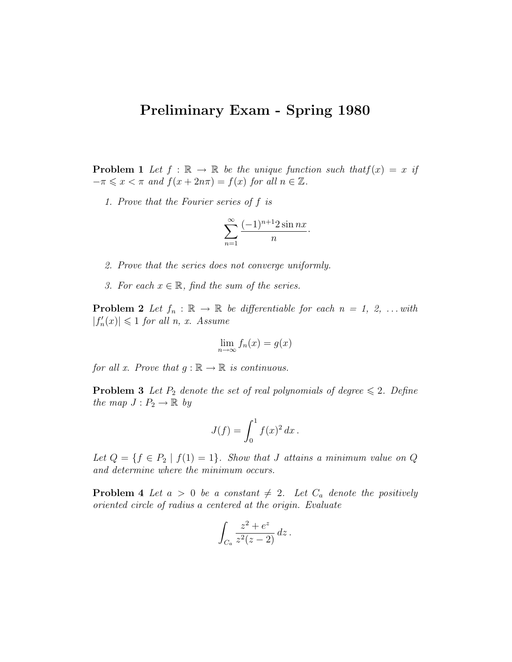## Preliminary Exam - Spring 1980

**Problem 1** Let  $f : \mathbb{R} \to \mathbb{R}$  be the unique function such that  $f(x) = x$  if  $-\pi \leqslant x < \pi$  and  $f(x + 2n\pi) = f(x)$  for all  $n \in \mathbb{Z}$ .

1. Prove that the Fourier series of f is

$$
\sum_{n=1}^{\infty} \frac{(-1)^{n+1} 2 \sin nx}{n}.
$$

- 2. Prove that the series does not converge uniformly.
- 3. For each  $x \in \mathbb{R}$ , find the sum of the series.

**Problem 2** Let  $f_n : \mathbb{R} \to \mathbb{R}$  be differentiable for each  $n = 1, 2, ...$  with  $|f'_n(x)| \leq 1$  for all n, x. Assume

$$
\lim_{n \to \infty} f_n(x) = g(x)
$$

for all x. Prove that  $g : \mathbb{R} \to \mathbb{R}$  is continuous.

**Problem 3** Let  $P_2$  denote the set of real polynomials of degree  $\leq 2$ . Define the map  $J: P_2 \to \mathbb{R}$  by

$$
J(f) = \int_0^1 f(x)^2 dx.
$$

Let  $Q = \{f \in P_2 \mid f(1) = 1\}$ . Show that J attains a minimum value on Q and determine where the minimum occurs.

**Problem 4** Let  $a > 0$  be a constant  $\neq 2$ . Let  $C_a$  denote the positively oriented circle of radius a centered at the origin. Evaluate

$$
\int_{C_a} \frac{z^2 + e^z}{z^2(z - 2)} \, dz \, .
$$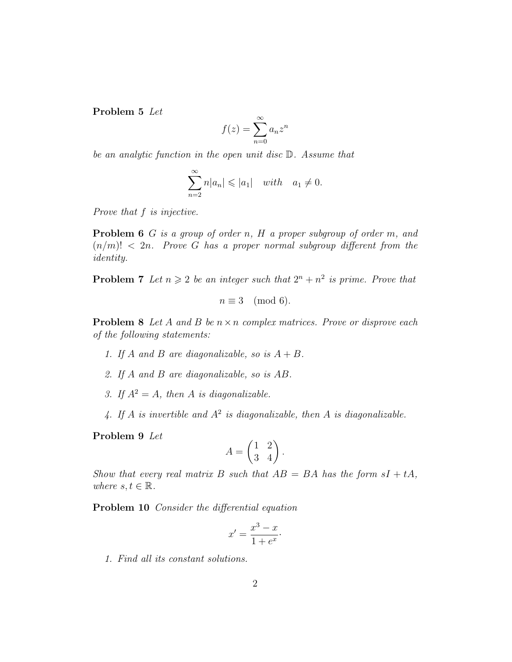Problem 5 Let

$$
f(z) = \sum_{n=0}^{\infty} a_n z^n
$$

be an analytic function in the open unit disc D. Assume that

$$
\sum_{n=2}^{\infty} n|a_n| \leqslant |a_1| \quad with \quad a_1 \neq 0.
$$

Prove that f is injective.

**Problem 6** G is a group of order n,  $H$  a proper subgroup of order m, and  $(n/m)! < 2n$ . Prove G has a proper normal subgroup different from the identity.

**Problem 7** Let  $n \geq 2$  be an integer such that  $2^n + n^2$  is prime. Prove that

$$
n \equiv 3 \pmod{6}.
$$

**Problem 8** Let A and B be  $n \times n$  complex matrices. Prove or disprove each of the following statements:

- 1. If A and B are diagonalizable, so is  $A + B$ .
- 2. If A and B are diagonalizable, so is AB.
- 3. If  $A^2 = A$ , then A is diagonalizable.
- 4. If A is invertible and  $A^2$  is diagonalizable, then A is diagonalizable.

Problem 9 Let

$$
A = \begin{pmatrix} 1 & 2 \\ 3 & 4 \end{pmatrix}.
$$

Show that every real matrix B such that  $AB = BA$  has the form  $sI + tA$ , where  $s, t \in \mathbb{R}$ .

Problem 10 Consider the differential equation

$$
x' = \frac{x^3 - x}{1 + e^x}.
$$

1. Find all its constant solutions.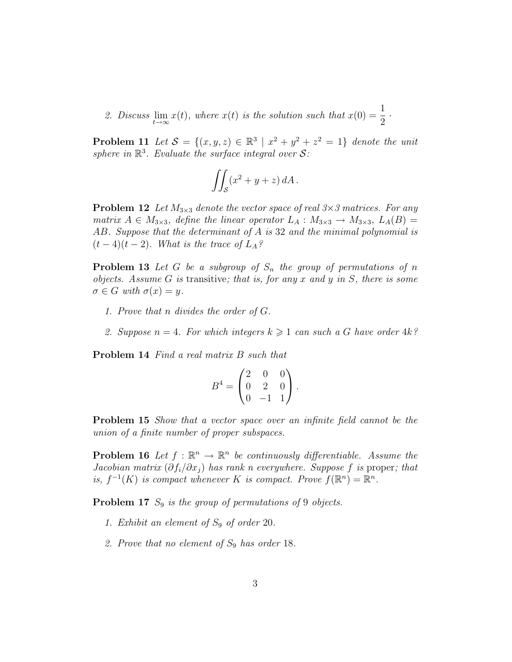2. Discuss  $\lim_{t\to\infty} x(t)$ , where  $x(t)$  is the solution such that  $x(0) = \frac{1}{2}$ 2 ·

**Problem 11** Let  $S = \{(x, y, z) \in \mathbb{R}^3 \mid x^2 + y^2 + z^2 = 1\}$  denote the unit sphere in  $\mathbb{R}^3$ . Evaluate the surface integral over S:

$$
\iint_{\mathcal{S}} (x^2 + y + z) \, dA \, .
$$

**Problem 12** Let  $M_{3\times 3}$  denote the vector space of real  $3\times 3$  matrices. For any matrix  $A \in M_{3\times 3}$ , define the linear operator  $L_A : M_{3\times 3} \to M_{3\times 3}$ ,  $L_A(B) =$ AB. Suppose that the determinant of A is 32 and the minimal polynomial is  $(t-4)(t-2)$ . What is the trace of  $L_A$ ?

**Problem 13** Let G be a subgroup of  $S_n$  the group of permutations of n objects. Assume G is transitive; that is, for any x and y in S, there is some  $\sigma \in G$  with  $\sigma(x) = y$ .

- 1. Prove that n divides the order of G.
- 2. Suppose  $n = 4$ . For which integers  $k \geq 1$  can such a G have order  $4k$ ?

Problem 14 Find a real matrix B such that

$$
B^4 = \begin{pmatrix} 2 & 0 & 0 \\ 0 & 2 & 0 \\ 0 & -1 & 1 \end{pmatrix}.
$$

**Problem 15** Show that a vector space over an infinite field cannot be the union of a finite number of proper subspaces.

**Problem 16** Let  $f : \mathbb{R}^n \to \mathbb{R}^n$  be continuously differentiable. Assume the Jacobian matrix  $(\partial f_i/\partial x_j)$  has rank n everywhere. Suppose f is proper; that is,  $f^{-1}(K)$  is compact whenever K is compact. Prove  $f(\mathbb{R}^n) = \mathbb{R}^n$ .

**Problem 17**  $S_9$  is the group of permutations of 9 objects.

- 1. Exhibit an element of  $S_9$  of order 20.
- 2. Prove that no element of  $S_9$  has order 18.